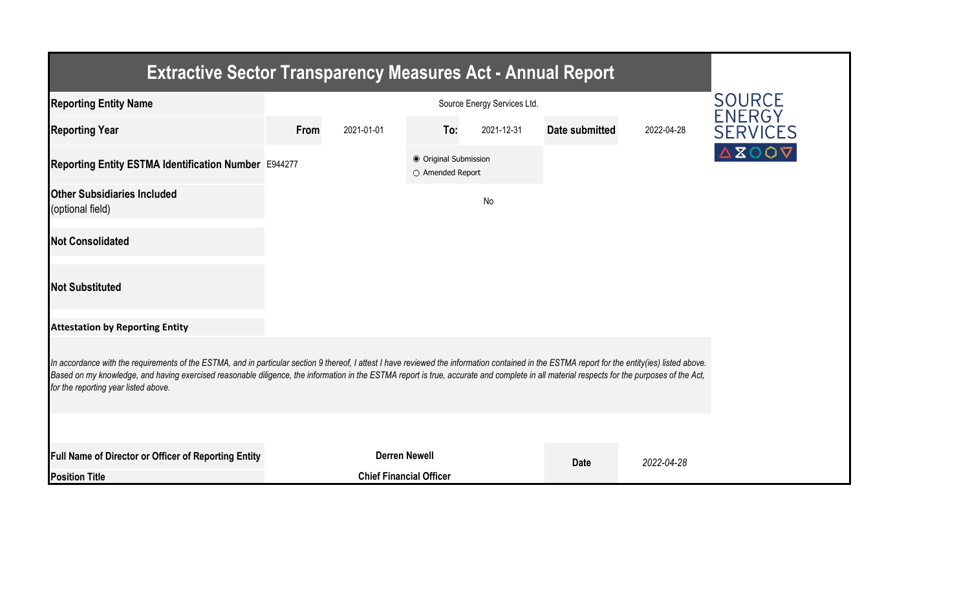| <b>Extractive Sector Transparency Measures Act - Annual Report</b>                                                                                                                                                                                                                                                                                                                                                                    |      |                                |                                           |            |                |            |                 |  |  |  |  |
|---------------------------------------------------------------------------------------------------------------------------------------------------------------------------------------------------------------------------------------------------------------------------------------------------------------------------------------------------------------------------------------------------------------------------------------|------|--------------------------------|-------------------------------------------|------------|----------------|------------|-----------------|--|--|--|--|
| <b>Reporting Entity Name</b>                                                                                                                                                                                                                                                                                                                                                                                                          |      | <b>SOURCE</b><br><b>ENERGY</b> |                                           |            |                |            |                 |  |  |  |  |
| <b>Reporting Year</b>                                                                                                                                                                                                                                                                                                                                                                                                                 | From | 2021-01-01                     | To:                                       | 2021-12-31 | Date submitted | 2022-04-28 | <b>SERVICES</b> |  |  |  |  |
| Reporting Entity ESTMA Identification Number E944277                                                                                                                                                                                                                                                                                                                                                                                  |      |                                | ● Original Submission<br>○ Amended Report |            |                |            | <b>AZOOV</b>    |  |  |  |  |
| <b>Other Subsidiaries Included</b><br>(optional field)                                                                                                                                                                                                                                                                                                                                                                                |      |                                |                                           | No         |                |            |                 |  |  |  |  |
| <b>Not Consolidated</b>                                                                                                                                                                                                                                                                                                                                                                                                               |      |                                |                                           |            |                |            |                 |  |  |  |  |
| <b>Not Substituted</b>                                                                                                                                                                                                                                                                                                                                                                                                                |      |                                |                                           |            |                |            |                 |  |  |  |  |
| <b>Attestation by Reporting Entity</b>                                                                                                                                                                                                                                                                                                                                                                                                |      |                                |                                           |            |                |            |                 |  |  |  |  |
| In accordance with the requirements of the ESTMA, and in particular section 9 thereof, I attest I have reviewed the information contained in the ESTMA report for the entity(ies) listed above.<br>Based on my knowledge, and having exercised reasonable diligence, the information in the ESTMA report is true, accurate and complete in all material respects for the purposes of the Act,<br>for the reporting year listed above. |      |                                |                                           |            |                |            |                 |  |  |  |  |
|                                                                                                                                                                                                                                                                                                                                                                                                                                       |      |                                |                                           |            |                |            |                 |  |  |  |  |
| Full Name of Director or Officer of Reporting Entity                                                                                                                                                                                                                                                                                                                                                                                  |      | <b>Derren Newell</b>           |                                           |            |                | 2022-04-28 |                 |  |  |  |  |
| <b>Position Title</b>                                                                                                                                                                                                                                                                                                                                                                                                                 |      | <b>Chief Financial Officer</b> |                                           |            |                |            |                 |  |  |  |  |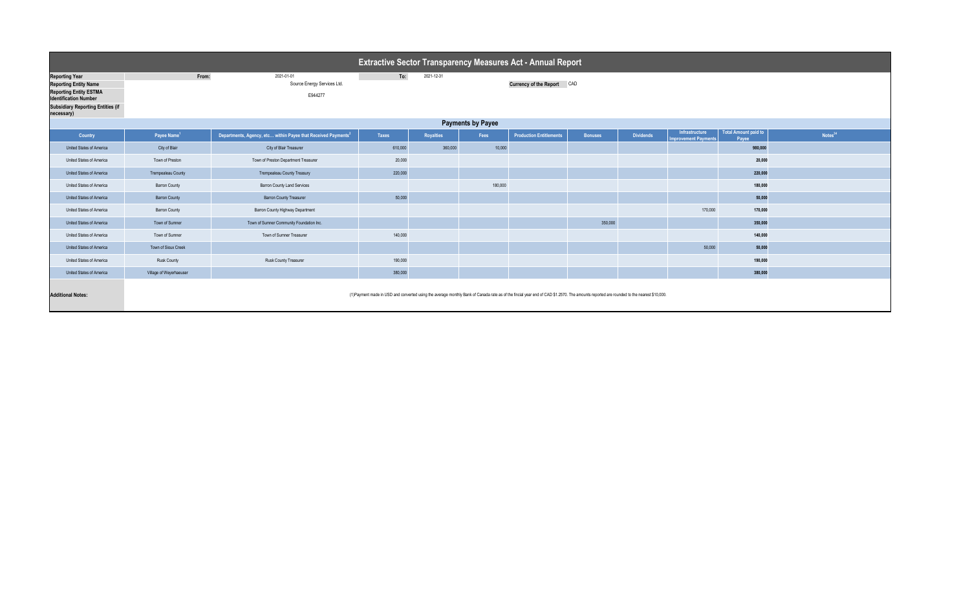| <b>Extractive Sector Transparency Measures Act - Annual Report</b>                                                                                                               |                                                                                                                         |                                                                           |              |                  |         |                                                                                                                                                                                           |                |                  |                                                      |                                      |                     |  |
|----------------------------------------------------------------------------------------------------------------------------------------------------------------------------------|-------------------------------------------------------------------------------------------------------------------------|---------------------------------------------------------------------------|--------------|------------------|---------|-------------------------------------------------------------------------------------------------------------------------------------------------------------------------------------------|----------------|------------------|------------------------------------------------------|--------------------------------------|---------------------|--|
| <b>Reporting Year</b><br><b>Reporting Entity Name</b><br><b>Reporting Entity ESTMA</b><br><b>Identification Number</b><br><b>Subsidiary Reporting Entities (if</b><br>necessary) | From:<br>To:<br>2021-12-31<br>2021-01-01<br><b>Currency of the Report CAD</b><br>Source Energy Services Ltd.<br>E944277 |                                                                           |              |                  |         |                                                                                                                                                                                           |                |                  |                                                      |                                      |                     |  |
| <b>Payments by Payee</b>                                                                                                                                                         |                                                                                                                         |                                                                           |              |                  |         |                                                                                                                                                                                           |                |                  |                                                      |                                      |                     |  |
| <b>Country</b>                                                                                                                                                                   | Payee Name <sup>1</sup>                                                                                                 | Departments, Agency, etc within Payee that Received Payments <sup>2</sup> | <b>Taxes</b> | <b>Royalties</b> | Fees    | <b>Production Entitlements</b>                                                                                                                                                            | <b>Bonuses</b> | <b>Dividends</b> | <b>Infrastructure</b><br><b>Improvement Payments</b> | <b>Total Amount paid to</b><br>Payee | Notes <sup>34</sup> |  |
| United States of America                                                                                                                                                         | City of Blair                                                                                                           | City of Blair Treasurer                                                   | 610,000      | 360,000          | 10,000  |                                                                                                                                                                                           |                |                  |                                                      | 980,000                              |                     |  |
| United States of America                                                                                                                                                         | Town of Preston                                                                                                         | Town of Preston Department Treasurer                                      | 20,000       |                  |         |                                                                                                                                                                                           |                |                  |                                                      | 20,000                               |                     |  |
| United States of America                                                                                                                                                         | Trempealeau County                                                                                                      | <b>Trempealeau County Treasury</b>                                        | 220,000      |                  |         |                                                                                                                                                                                           |                |                  |                                                      | 220,000                              |                     |  |
| United States of America                                                                                                                                                         | <b>Barron County</b>                                                                                                    | <b>Barron County Land Services</b>                                        |              |                  | 180,000 |                                                                                                                                                                                           |                |                  |                                                      | 180,000                              |                     |  |
| United States of America                                                                                                                                                         | <b>Barron County</b>                                                                                                    | <b>Barron County Treasurer</b>                                            | 50,000       |                  |         |                                                                                                                                                                                           |                |                  |                                                      | 50,000                               |                     |  |
| United States of America                                                                                                                                                         | <b>Barron County</b>                                                                                                    | <b>Barron County Highway Department</b>                                   |              |                  |         |                                                                                                                                                                                           |                |                  | 170,000                                              | 170,000                              |                     |  |
| United States of America                                                                                                                                                         | Town of Sumner                                                                                                          | Town of Sumner Community Foundation Inc.                                  |              |                  |         |                                                                                                                                                                                           | 350,000        |                  |                                                      | 350,000                              |                     |  |
| United States of America                                                                                                                                                         | Town of Sumner                                                                                                          | Town of Sumner Treasurer                                                  | 140,000      |                  |         |                                                                                                                                                                                           |                |                  |                                                      | 140,000                              |                     |  |
| United States of America                                                                                                                                                         | Town of Sioux Creek                                                                                                     |                                                                           |              |                  |         |                                                                                                                                                                                           |                |                  | 50,000                                               | 50,000                               |                     |  |
| United States of America                                                                                                                                                         | <b>Rusk County</b>                                                                                                      | Rusk County Treasurer                                                     | 190,000      |                  |         |                                                                                                                                                                                           |                |                  |                                                      | 190,000                              |                     |  |
| United States of America                                                                                                                                                         | Village of Weyerhaeuser                                                                                                 |                                                                           | 380,000      |                  |         |                                                                                                                                                                                           |                |                  |                                                      | 380,000                              |                     |  |
| <b>Additional Notes:</b>                                                                                                                                                         |                                                                                                                         |                                                                           |              |                  |         | (1) Payment made in USD and converted using the average monthly Bank of Canada rate as of the fincial year end of CAD \$1.2570. The amounts reported are rounded to the nearest \$10,000. |                |                  |                                                      |                                      |                     |  |